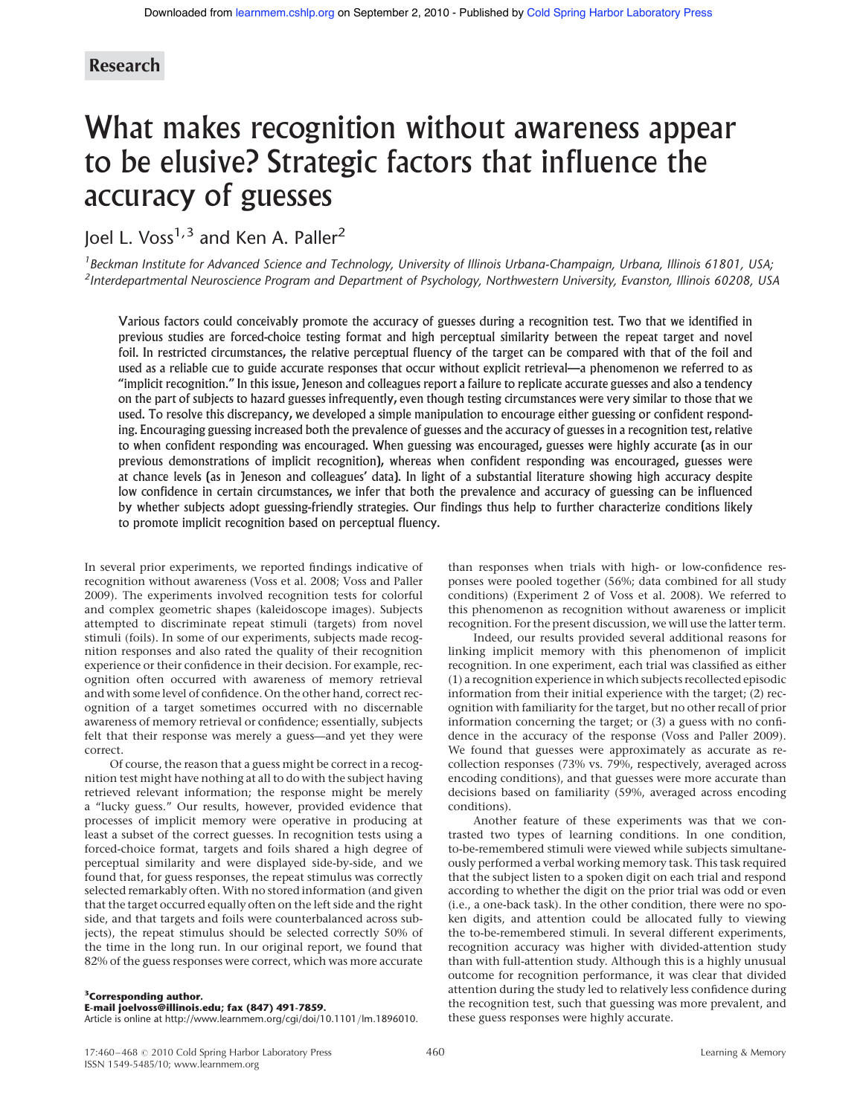# Research

# What makes recognition without awareness appear to be elusive? Strategic factors that influence the accuracy of guesses

Joel L. Voss<sup>1,3</sup> and Ken A. Paller<sup>2</sup>

<sup>1</sup> Beckman Institute for Advanced Science and Technology, University of Illinois Urbana-Champaign, Urbana, Illinois 61801, USA; <sup>2</sup>Interdepartmental Neuroscience Program and Department of Psychology, Northwestern University, Evanston, Illinois 60208, USA

Various factors could conceivably promote the accuracy of guesses during a recognition test. Two that we identified in previous studies are forced-choice testing format and high perceptual similarity between the repeat target and novel foil. In restricted circumstances, the relative perceptual fluency of the target can be compared with that of the foil and used as a reliable cue to guide accurate responses that occur without explicit retrieval—a phenomenon we referred to as "implicit recognition." In this issue, Jeneson and colleagues report a failure to replicate accurate guesses and also a tendency on the part of subjects to hazard guesses infrequently, even though testing circumstances were very similar to those that we used. To resolve this discrepancy, we developed a simple manipulation to encourage either guessing or confident responding. Encouraging guessing increased both the prevalence of guesses and the accuracy of guesses in a recognition test, relative to when confident responding was encouraged. When guessing was encouraged, guesses were highly accurate (as in our previous demonstrations of implicit recognition), whereas when confident responding was encouraged, guesses were at chance levels (as in Jeneson and colleagues' data). In light of a substantial literature showing high accuracy despite low confidence in certain circumstances, we infer that both the prevalence and accuracy of guessing can be influenced by whether subjects adopt guessing-friendly strategies. Our findings thus help to further characterize conditions likely to promote implicit recognition based on perceptual fluency.

In several prior experiments, we reported findings indicative of recognition without awareness (Voss et al. 2008; Voss and Paller 2009). The experiments involved recognition tests for colorful and complex geometric shapes (kaleidoscope images). Subjects attempted to discriminate repeat stimuli (targets) from novel stimuli (foils). In some of our experiments, subjects made recognition responses and also rated the quality of their recognition experience or their confidence in their decision. For example, recognition often occurred with awareness of memory retrieval and with some level of confidence. On the other hand, correct recognition of a target sometimes occurred with no discernable awareness of memory retrieval or confidence; essentially, subjects felt that their response was merely a guess—and yet they were correct.

Of course, the reason that a guess might be correct in a recognition test might have nothing at all to do with the subject having retrieved relevant information; the response might be merely a "lucky guess." Our results, however, provided evidence that processes of implicit memory were operative in producing at least a subset of the correct guesses. In recognition tests using a forced-choice format, targets and foils shared a high degree of perceptual similarity and were displayed side-by-side, and we found that, for guess responses, the repeat stimulus was correctly selected remarkably often. With no stored information (and given that the target occurred equally often on the left side and the right side, and that targets and foils were counterbalanced across subjects), the repeat stimulus should be selected correctly 50% of the time in the long run. In our original report, we found that 82% of the guess responses were correct, which was more accurate

than responses when trials with high- or low-confidence responses were pooled together (56%; data combined for all study conditions) (Experiment 2 of Voss et al. 2008). We referred to this phenomenon as recognition without awareness or implicit recognition. For the present discussion, we will use the latter term.

Indeed, our results provided several additional reasons for linking implicit memory with this phenomenon of implicit recognition. In one experiment, each trial was classified as either (1) a recognition experience in which subjects recollected episodic information from their initial experience with the target; (2) recognition with familiarity for the target, but no other recall of prior information concerning the target; or (3) a guess with no confidence in the accuracy of the response (Voss and Paller 2009). We found that guesses were approximately as accurate as recollection responses (73% vs. 79%, respectively, averaged across encoding conditions), and that guesses were more accurate than decisions based on familiarity (59%, averaged across encoding conditions).

Another feature of these experiments was that we contrasted two types of learning conditions. In one condition, to-be-remembered stimuli were viewed while subjects simultaneously performed a verbal working memory task. This task required that the subject listen to a spoken digit on each trial and respond according to whether the digit on the prior trial was odd or even (i.e., a one-back task). In the other condition, there were no spoken digits, and attention could be allocated fully to viewing the to-be-remembered stimuli. In several different experiments, recognition accuracy was higher with divided-attention study than with full-attention study. Although this is a highly unusual outcome for recognition performance, it was clear that divided attention during the study led to relatively less confidence during the recognition test, such that guessing was more prevalent, and these guess responses were highly accurate.

<sup>3</sup>Corresponding author.

E-mail joelvoss@illinois.edu; fax (847) 491-7859.

Article is online at http://www.learnmem.org/cgi/doi/10.1101/lm.1896010.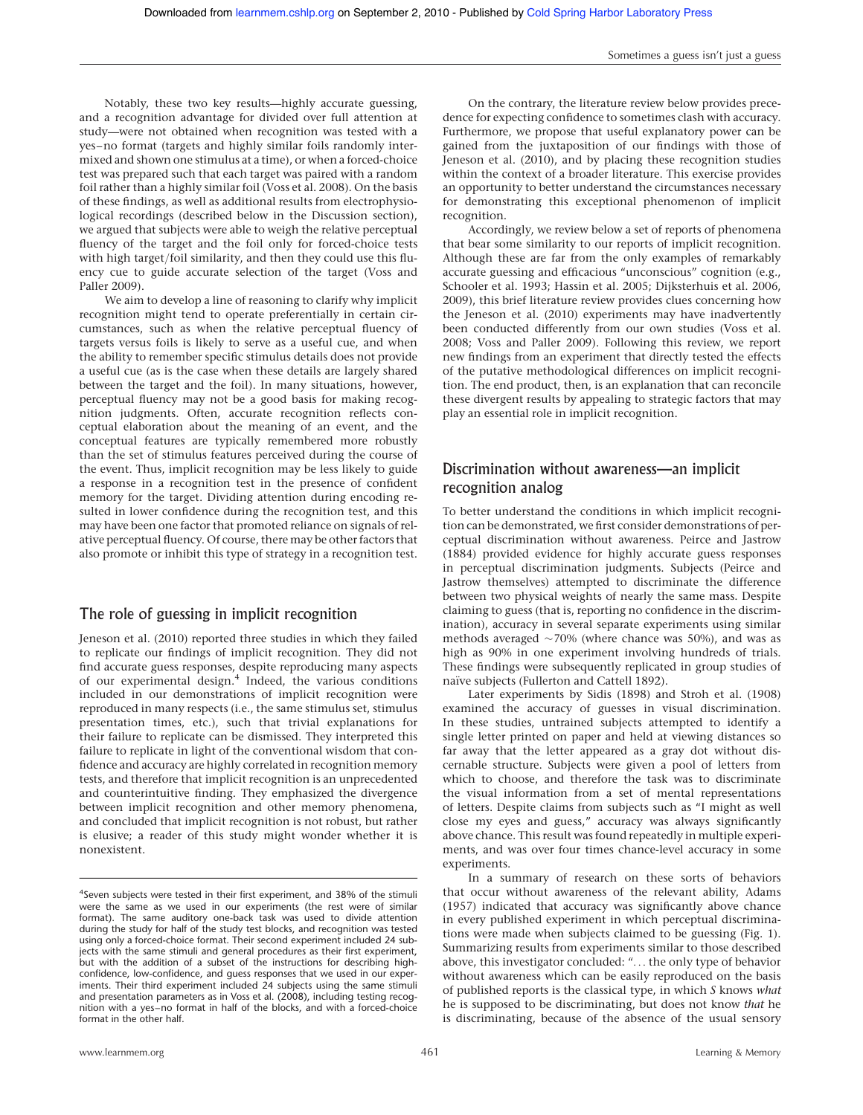Notably, these two key results—highly accurate guessing, and a recognition advantage for divided over full attention at study—were not obtained when recognition was tested with a yes–no format (targets and highly similar foils randomly intermixed and shown one stimulus at a time), or when a forced-choice test was prepared such that each target was paired with a random foil rather than a highly similar foil (Voss et al. 2008). On the basis of these findings, as well as additional results from electrophysiological recordings (described below in the Discussion section), we argued that subjects were able to weigh the relative perceptual fluency of the target and the foil only for forced-choice tests with high target/foil similarity, and then they could use this fluency cue to guide accurate selection of the target (Voss and Paller 2009).

We aim to develop a line of reasoning to clarify why implicit recognition might tend to operate preferentially in certain circumstances, such as when the relative perceptual fluency of targets versus foils is likely to serve as a useful cue, and when the ability to remember specific stimulus details does not provide a useful cue (as is the case when these details are largely shared between the target and the foil). In many situations, however, perceptual fluency may not be a good basis for making recognition judgments. Often, accurate recognition reflects conceptual elaboration about the meaning of an event, and the conceptual features are typically remembered more robustly than the set of stimulus features perceived during the course of the event. Thus, implicit recognition may be less likely to guide a response in a recognition test in the presence of confident memory for the target. Dividing attention during encoding resulted in lower confidence during the recognition test, and this may have been one factor that promoted reliance on signals of relative perceptual fluency. Of course, there may be other factors that also promote or inhibit this type of strategy in a recognition test.

## The role of guessing in implicit recognition

Jeneson et al. (2010) reported three studies in which they failed to replicate our findings of implicit recognition. They did not find accurate guess responses, despite reproducing many aspects of our experimental design.4 Indeed, the various conditions included in our demonstrations of implicit recognition were reproduced in many respects (i.e., the same stimulus set, stimulus presentation times, etc.), such that trivial explanations for their failure to replicate can be dismissed. They interpreted this failure to replicate in light of the conventional wisdom that confidence and accuracy are highly correlated in recognition memory tests, and therefore that implicit recognition is an unprecedented and counterintuitive finding. They emphasized the divergence between implicit recognition and other memory phenomena, and concluded that implicit recognition is not robust, but rather is elusive; a reader of this study might wonder whether it is nonexistent.

On the contrary, the literature review below provides precedence for expecting confidence to sometimes clash with accuracy. Furthermore, we propose that useful explanatory power can be gained from the juxtaposition of our findings with those of Jeneson et al. (2010), and by placing these recognition studies within the context of a broader literature. This exercise provides an opportunity to better understand the circumstances necessary for demonstrating this exceptional phenomenon of implicit recognition.

Accordingly, we review below a set of reports of phenomena that bear some similarity to our reports of implicit recognition. Although these are far from the only examples of remarkably accurate guessing and efficacious "unconscious" cognition (e.g., Schooler et al. 1993; Hassin et al. 2005; Dijksterhuis et al. 2006, 2009), this brief literature review provides clues concerning how the Jeneson et al. (2010) experiments may have inadvertently been conducted differently from our own studies (Voss et al. 2008; Voss and Paller 2009). Following this review, we report new findings from an experiment that directly tested the effects of the putative methodological differences on implicit recognition. The end product, then, is an explanation that can reconcile these divergent results by appealing to strategic factors that may play an essential role in implicit recognition.

## Discrimination without awareness—an implicit recognition analog

To better understand the conditions in which implicit recognition can be demonstrated, we first consider demonstrations of perceptual discrimination without awareness. Peirce and Jastrow (1884) provided evidence for highly accurate guess responses in perceptual discrimination judgments. Subjects (Peirce and Jastrow themselves) attempted to discriminate the difference between two physical weights of nearly the same mass. Despite claiming to guess (that is, reporting no confidence in the discrimination), accuracy in several separate experiments using similar methods averaged  $\sim$ 70% (where chance was 50%), and was as high as 90% in one experiment involving hundreds of trials. These findings were subsequently replicated in group studies of naïve subjects (Fullerton and Cattell 1892).

Later experiments by Sidis (1898) and Stroh et al. (1908) examined the accuracy of guesses in visual discrimination. In these studies, untrained subjects attempted to identify a single letter printed on paper and held at viewing distances so far away that the letter appeared as a gray dot without discernable structure. Subjects were given a pool of letters from which to choose, and therefore the task was to discriminate the visual information from a set of mental representations of letters. Despite claims from subjects such as "I might as well close my eyes and guess," accuracy was always significantly above chance. This result was found repeatedly in multiple experiments, and was over four times chance-level accuracy in some experiments.

In a summary of research on these sorts of behaviors that occur without awareness of the relevant ability, Adams (1957) indicated that accuracy was significantly above chance in every published experiment in which perceptual discriminations were made when subjects claimed to be guessing (Fig. 1). Summarizing results from experiments similar to those described above, this investigator concluded: "... the only type of behavior without awareness which can be easily reproduced on the basis of published reports is the classical type, in which S knows what he is supposed to be discriminating, but does not know that he is discriminating, because of the absence of the usual sensory

<sup>&</sup>lt;sup>4</sup>Seven subjects were tested in their first experiment, and 38% of the stimuli were the same as we used in our experiments (the rest were of similar format). The same auditory one-back task was used to divide attention during the study for half of the study test blocks, and recognition was tested using only a forced-choice format. Their second experiment included 24 subjects with the same stimuli and general procedures as their first experiment, but with the addition of a subset of the instructions for describing highconfidence, low-confidence, and guess responses that we used in our experiments. Their third experiment included 24 subjects using the same stimuli and presentation parameters as in Voss et al. (2008), including testing recognition with a yes–no format in half of the blocks, and with a forced-choice format in the other half.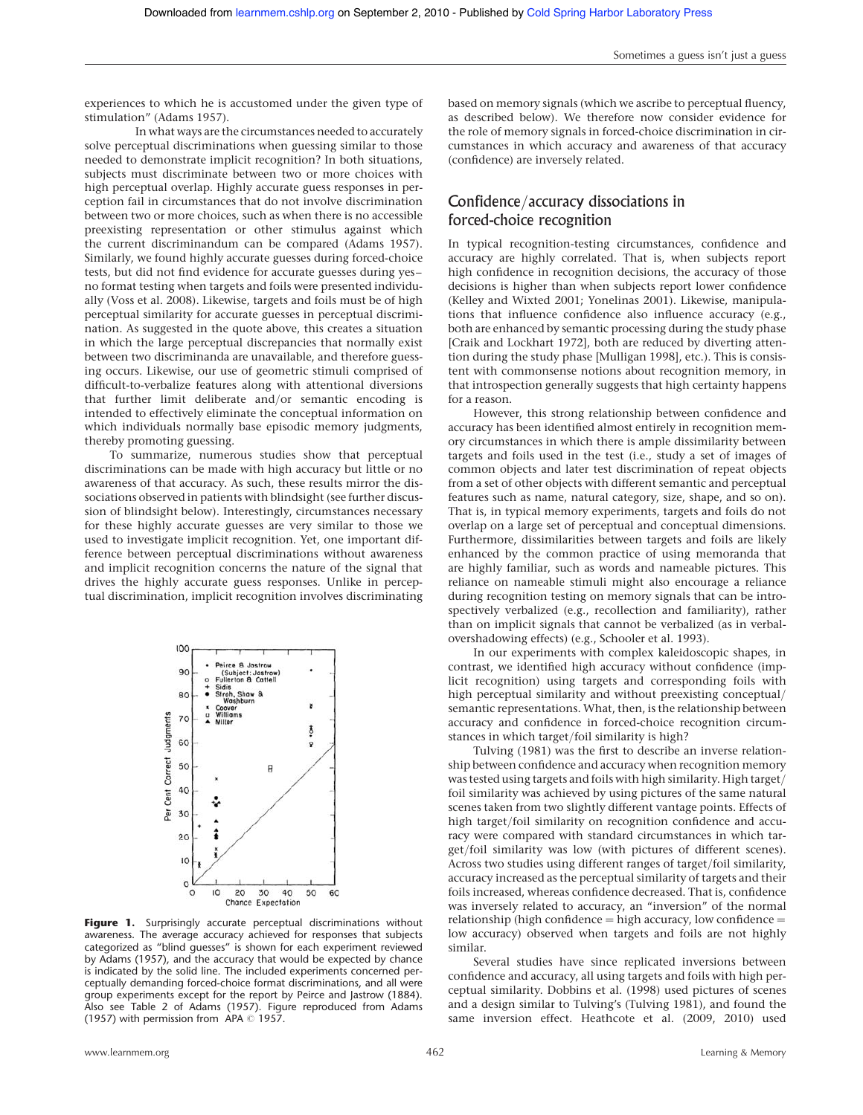experiences to which he is accustomed under the given type of stimulation" (Adams 1957).

In what ways are the circumstances needed to accurately solve perceptual discriminations when guessing similar to those needed to demonstrate implicit recognition? In both situations, subjects must discriminate between two or more choices with high perceptual overlap. Highly accurate guess responses in perception fail in circumstances that do not involve discrimination between two or more choices, such as when there is no accessible preexisting representation or other stimulus against which the current discriminandum can be compared (Adams 1957). Similarly, we found highly accurate guesses during forced-choice tests, but did not find evidence for accurate guesses during yes – no format testing when targets and foils were presented individually (Voss et al. 2008). Likewise, targets and foils must be of high perceptual similarity for accurate guesses in perceptual discrimination. As suggested in the quote above, this creates a situation in which the large perceptual discrepancies that normally exist between two discriminanda are unavailable, and therefore guessing occurs. Likewise, our use of geometric stimuli comprised of difficult-to-verbalize features along with attentional diversions that further limit deliberate and/or semantic encoding is intended to effectively eliminate the conceptual information on which individuals normally base episodic memory judgments, thereby promoting guessing.

To summarize, numerous studies show that perceptual discriminations can be made with high accuracy but little or no awareness of that accuracy. As such, these results mirror the dissociations observed in patients with blindsight (see further discussion of blindsight below). Interestingly, circumstances necessary for these highly accurate guesses are very similar to those we used to investigate implicit recognition. Yet, one important difference between perceptual discriminations without awareness and implicit recognition concerns the nature of the signal that drives the highly accurate guess responses. Unlike in perceptual discrimination, implicit recognition involves discriminating



Figure 1. Surprisingly accurate perceptual discriminations without awareness. The average accuracy achieved for responses that subjects categorized as "blind guesses" is shown for each experiment reviewed by Adams (1957), and the accuracy that would be expected by chance is indicated by the solid line. The included experiments concerned perceptually demanding forced-choice format discriminations, and all were group experiments except for the report by Peirce and Jastrow (1884). Also see Table 2 of Adams (1957). Figure reproduced from Adams (1957) with permission from APA  $\odot$  1957.

based on memory signals (which we ascribe to perceptual fluency, as described below). We therefore now consider evidence for the role of memory signals in forced-choice discrimination in circumstances in which accuracy and awareness of that accuracy (confidence) are inversely related.

# Confidence/accuracy dissociations in forced-choice recognition

In typical recognition-testing circumstances, confidence and accuracy are highly correlated. That is, when subjects report high confidence in recognition decisions, the accuracy of those decisions is higher than when subjects report lower confidence (Kelley and Wixted 2001; Yonelinas 2001). Likewise, manipulations that influence confidence also influence accuracy (e.g., both are enhanced by semantic processing during the study phase [Craik and Lockhart 1972], both are reduced by diverting attention during the study phase [Mulligan 1998], etc.). This is consistent with commonsense notions about recognition memory, in that introspection generally suggests that high certainty happens for a reason.

However, this strong relationship between confidence and accuracy has been identified almost entirely in recognition memory circumstances in which there is ample dissimilarity between targets and foils used in the test (i.e., study a set of images of common objects and later test discrimination of repeat objects from a set of other objects with different semantic and perceptual features such as name, natural category, size, shape, and so on). That is, in typical memory experiments, targets and foils do not overlap on a large set of perceptual and conceptual dimensions. Furthermore, dissimilarities between targets and foils are likely enhanced by the common practice of using memoranda that are highly familiar, such as words and nameable pictures. This reliance on nameable stimuli might also encourage a reliance during recognition testing on memory signals that can be introspectively verbalized (e.g., recollection and familiarity), rather than on implicit signals that cannot be verbalized (as in verbalovershadowing effects) (e.g., Schooler et al. 1993).

In our experiments with complex kaleidoscopic shapes, in contrast, we identified high accuracy without confidence (implicit recognition) using targets and corresponding foils with high perceptual similarity and without preexisting conceptual/ semantic representations. What, then, is the relationship between accuracy and confidence in forced-choice recognition circumstances in which target/foil similarity is high?

Tulving (1981) was the first to describe an inverse relationship between confidence and accuracy when recognition memory was tested using targets and foils with high similarity. High target/ foil similarity was achieved by using pictures of the same natural scenes taken from two slightly different vantage points. Effects of high target/foil similarity on recognition confidence and accuracy were compared with standard circumstances in which target/foil similarity was low (with pictures of different scenes). Across two studies using different ranges of target/foil similarity, accuracy increased as the perceptual similarity of targets and their foils increased, whereas confidence decreased. That is, confidence was inversely related to accuracy, an "inversion" of the normal  $relationship (high confidence = high accuracy, low confidence =$ low accuracy) observed when targets and foils are not highly similar.

Several studies have since replicated inversions between confidence and accuracy, all using targets and foils with high perceptual similarity. Dobbins et al. (1998) used pictures of scenes and a design similar to Tulving's (Tulving 1981), and found the same inversion effect. Heathcote et al. (2009, 2010) used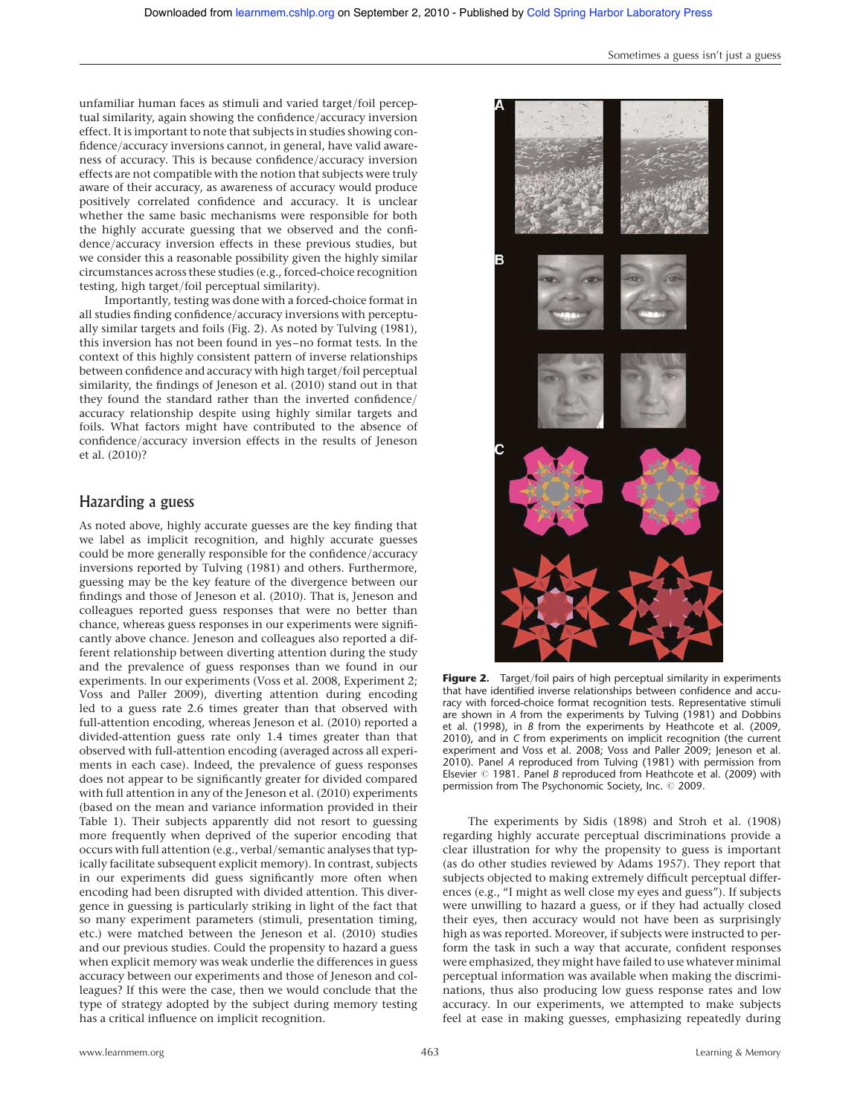unfamiliar human faces as stimuli and varied target/foil perceptual similarity, again showing the confidence/accuracy inversion effect. It is important to note that subjects in studies showing confidence/accuracy inversions cannot, in general, have valid awareness of accuracy. This is because confidence/accuracy inversion effects are not compatible with the notion that subjects were truly aware of their accuracy, as awareness of accuracy would produce positively correlated confidence and accuracy. It is unclear whether the same basic mechanisms were responsible for both the highly accurate guessing that we observed and the confidence/accuracy inversion effects in these previous studies, but we consider this a reasonable possibility given the highly similar circumstances across these studies (e.g., forced-choice recognition testing, high target/foil perceptual similarity).

Importantly, testing was done with a forced-choice format in all studies finding confidence/accuracy inversions with perceptually similar targets and foils (Fig. 2). As noted by Tulving (1981), this inversion has not been found in yes–no format tests. In the context of this highly consistent pattern of inverse relationships between confidence and accuracy with high target/foil perceptual similarity, the findings of Jeneson et al. (2010) stand out in that they found the standard rather than the inverted confidence/ accuracy relationship despite using highly similar targets and foils. What factors might have contributed to the absence of confidence/accuracy inversion effects in the results of Jeneson et al. (2010)?

## Hazarding a guess

As noted above, highly accurate guesses are the key finding that we label as implicit recognition, and highly accurate guesses could be more generally responsible for the confidence/accuracy inversions reported by Tulving (1981) and others. Furthermore, guessing may be the key feature of the divergence between our findings and those of Jeneson et al. (2010). That is, Jeneson and colleagues reported guess responses that were no better than chance, whereas guess responses in our experiments were significantly above chance. Jeneson and colleagues also reported a different relationship between diverting attention during the study and the prevalence of guess responses than we found in our experiments. In our experiments (Voss et al. 2008, Experiment 2; Voss and Paller 2009), diverting attention during encoding led to a guess rate 2.6 times greater than that observed with full-attention encoding, whereas Jeneson et al. (2010) reported a divided-attention guess rate only 1.4 times greater than that observed with full-attention encoding (averaged across all experiments in each case). Indeed, the prevalence of guess responses does not appear to be significantly greater for divided compared with full attention in any of the Jeneson et al. (2010) experiments (based on the mean and variance information provided in their Table 1). Their subjects apparently did not resort to guessing more frequently when deprived of the superior encoding that occurs with full attention (e.g., verbal/semantic analyses that typically facilitate subsequent explicit memory). In contrast, subjects in our experiments did guess significantly more often when encoding had been disrupted with divided attention. This divergence in guessing is particularly striking in light of the fact that so many experiment parameters (stimuli, presentation timing, etc.) were matched between the Jeneson et al. (2010) studies and our previous studies. Could the propensity to hazard a guess when explicit memory was weak underlie the differences in guess accuracy between our experiments and those of Jeneson and colleagues? If this were the case, then we would conclude that the type of strategy adopted by the subject during memory testing has a critical influence on implicit recognition.



Sometimes a guess isn't just a guess

Figure 2. Target/foil pairs of high perceptual similarity in experiments that have identified inverse relationships between confidence and accuracy with forced-choice format recognition tests. Representative stimuli are shown in A from the experiments by Tulving (1981) and Dobbins et al. (1998), in B from the experiments by Heathcote et al. (2009, 2010), and in C from experiments on implicit recognition (the current experiment and Voss et al. 2008; Voss and Paller 2009; Jeneson et al. 2010). Panel A reproduced from Tulving (1981) with permission from Elsevier  $@$  1981. Panel B reproduced from Heathcote et al. (2009) with permission from The Psychonomic Society, Inc. @ 2009.

The experiments by Sidis (1898) and Stroh et al. (1908) regarding highly accurate perceptual discriminations provide a clear illustration for why the propensity to guess is important (as do other studies reviewed by Adams 1957). They report that subjects objected to making extremely difficult perceptual differences (e.g., "I might as well close my eyes and guess"). If subjects were unwilling to hazard a guess, or if they had actually closed their eyes, then accuracy would not have been as surprisingly high as was reported. Moreover, if subjects were instructed to perform the task in such a way that accurate, confident responses were emphasized, they might have failed to use whatever minimal perceptual information was available when making the discriminations, thus also producing low guess response rates and low accuracy. In our experiments, we attempted to make subjects feel at ease in making guesses, emphasizing repeatedly during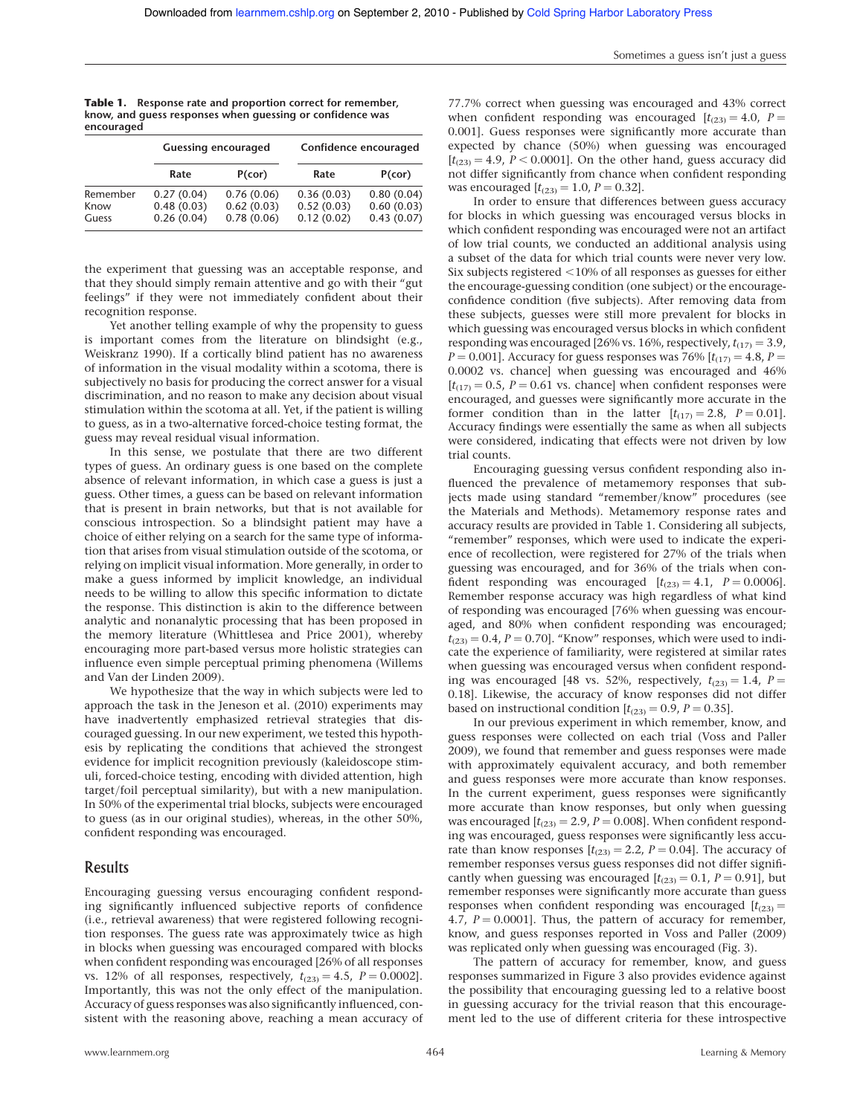|            | <b>Table 1.</b> Response rate and proportion correct for remember, |  |  |  |
|------------|--------------------------------------------------------------------|--|--|--|
|            | know, and quess responses when quessing or confidence was          |  |  |  |
| encouraged |                                                                    |  |  |  |

|                           |                                        | <b>Guessing encouraged</b>             |                                        | Confidence encouraged                  |  |  |
|---------------------------|----------------------------------------|----------------------------------------|----------------------------------------|----------------------------------------|--|--|
|                           | Rate                                   | P(cor)                                 | Rate                                   | P(cor)                                 |  |  |
| Remember<br>Know<br>Guess | 0.27(0.04)<br>0.48(0.03)<br>0.26(0.04) | 0.76(0.06)<br>0.62(0.03)<br>0.78(0.06) | 0.36(0.03)<br>0.52(0.03)<br>0.12(0.02) | 0.80(0.04)<br>0.60(0.03)<br>0.43(0.07) |  |  |

the experiment that guessing was an acceptable response, and that they should simply remain attentive and go with their "gut feelings" if they were not immediately confident about their recognition response.

Yet another telling example of why the propensity to guess is important comes from the literature on blindsight (e.g., Weiskranz 1990). If a cortically blind patient has no awareness of information in the visual modality within a scotoma, there is subjectively no basis for producing the correct answer for a visual discrimination, and no reason to make any decision about visual stimulation within the scotoma at all. Yet, if the patient is willing to guess, as in a two-alternative forced-choice testing format, the guess may reveal residual visual information.

In this sense, we postulate that there are two different types of guess. An ordinary guess is one based on the complete absence of relevant information, in which case a guess is just a guess. Other times, a guess can be based on relevant information that is present in brain networks, but that is not available for conscious introspection. So a blindsight patient may have a choice of either relying on a search for the same type of information that arises from visual stimulation outside of the scotoma, or relying on implicit visual information. More generally, in order to make a guess informed by implicit knowledge, an individual needs to be willing to allow this specific information to dictate the response. This distinction is akin to the difference between analytic and nonanalytic processing that has been proposed in the memory literature (Whittlesea and Price 2001), whereby encouraging more part-based versus more holistic strategies can influence even simple perceptual priming phenomena (Willems and Van der Linden 2009).

We hypothesize that the way in which subjects were led to approach the task in the Jeneson et al. (2010) experiments may have inadvertently emphasized retrieval strategies that discouraged guessing. In our new experiment, we tested this hypothesis by replicating the conditions that achieved the strongest evidence for implicit recognition previously (kaleidoscope stimuli, forced-choice testing, encoding with divided attention, high target/foil perceptual similarity), but with a new manipulation. In 50% of the experimental trial blocks, subjects were encouraged to guess (as in our original studies), whereas, in the other 50%, confident responding was encouraged.

## Results

Encouraging guessing versus encouraging confident responding significantly influenced subjective reports of confidence (i.e., retrieval awareness) that were registered following recognition responses. The guess rate was approximately twice as high in blocks when guessing was encouraged compared with blocks when confident responding was encouraged [26% of all responses vs. 12% of all responses, respectively,  $t_{(23)} = 4.5$ ,  $P = 0.0002$ ]. Importantly, this was not the only effect of the manipulation. Accuracy of guess responses was also significantly influenced, consistent with the reasoning above, reaching a mean accuracy of

77.7% correct when guessing was encouraged and 43% correct when confident responding was encouraged  $[t_{(23)} = 4.0, P =$ 0.001]. Guess responses were significantly more accurate than expected by chance (50%) when guessing was encouraged  $[t<sub>(23)</sub> = 4.9, P < 0.0001]$ . On the other hand, guess accuracy did not differ significantly from chance when confident responding was encouraged  $[t_{(23)} = 1.0, P = 0.32]$ .

In order to ensure that differences between guess accuracy for blocks in which guessing was encouraged versus blocks in which confident responding was encouraged were not an artifact of low trial counts, we conducted an additional analysis using a subset of the data for which trial counts were never very low. Six subjects registered  $<$  10% of all responses as guesses for either the encourage-guessing condition (one subject) or the encourageconfidence condition (five subjects). After removing data from these subjects, guesses were still more prevalent for blocks in which guessing was encouraged versus blocks in which confident responding was encouraged [26% vs. 16%, respectively,  $t_{(17)} = 3.9$ ,  $P = 0.001$ ]. Accuracy for guess responses was 76% [ $t_{(17)} = 4.8$ ,  $P =$ 0.0002 vs. chance] when guessing was encouraged and 46%  $[t_{(17)} = 0.5, P = 0.61$  vs. chance] when confident responses were encouraged, and guesses were significantly more accurate in the former condition than in the latter  $[t_{(17)} = 2.8, P = 0.01]$ . Accuracy findings were essentially the same as when all subjects were considered, indicating that effects were not driven by low trial counts.

Encouraging guessing versus confident responding also influenced the prevalence of metamemory responses that subjects made using standard "remember/know" procedures (see the Materials and Methods). Metamemory response rates and accuracy results are provided in Table 1. Considering all subjects, "remember" responses, which were used to indicate the experience of recollection, were registered for 27% of the trials when guessing was encouraged, and for 36% of the trials when confident responding was encouraged  $[t_{(23)} = 4.1, P = 0.0006]$ . Remember response accuracy was high regardless of what kind of responding was encouraged [76% when guessing was encouraged, and 80% when confident responding was encouraged;  $t_{(23)} = 0.4$ ,  $P = 0.70$ . "Know" responses, which were used to indicate the experience of familiarity, were registered at similar rates when guessing was encouraged versus when confident responding was encouraged [48 vs. 52%, respectively,  $t_{(23)} = 1.4$ ,  $P =$ 0.18]. Likewise, the accuracy of know responses did not differ based on instructional condition  $[t_{(23)} = 0.9, P = 0.35]$ .

In our previous experiment in which remember, know, and guess responses were collected on each trial (Voss and Paller 2009), we found that remember and guess responses were made with approximately equivalent accuracy, and both remember and guess responses were more accurate than know responses. In the current experiment, guess responses were significantly more accurate than know responses, but only when guessing was encouraged  $[t_{(23)} = 2.9, P = 0.008]$ . When confident responding was encouraged, guess responses were significantly less accurate than know responses  $[t_{(23)} = 2.2, P = 0.04]$ . The accuracy of remember responses versus guess responses did not differ significantly when guessing was encouraged  $[t_{(23)} = 0.1, P = 0.91]$ , but remember responses were significantly more accurate than guess responses when confident responding was encouraged  $[t_{(23)}]$  = 4.7,  $P = 0.0001$ ]. Thus, the pattern of accuracy for remember, know, and guess responses reported in Voss and Paller (2009) was replicated only when guessing was encouraged (Fig. 3).

The pattern of accuracy for remember, know, and guess responses summarized in Figure 3 also provides evidence against the possibility that encouraging guessing led to a relative boost in guessing accuracy for the trivial reason that this encouragement led to the use of different criteria for these introspective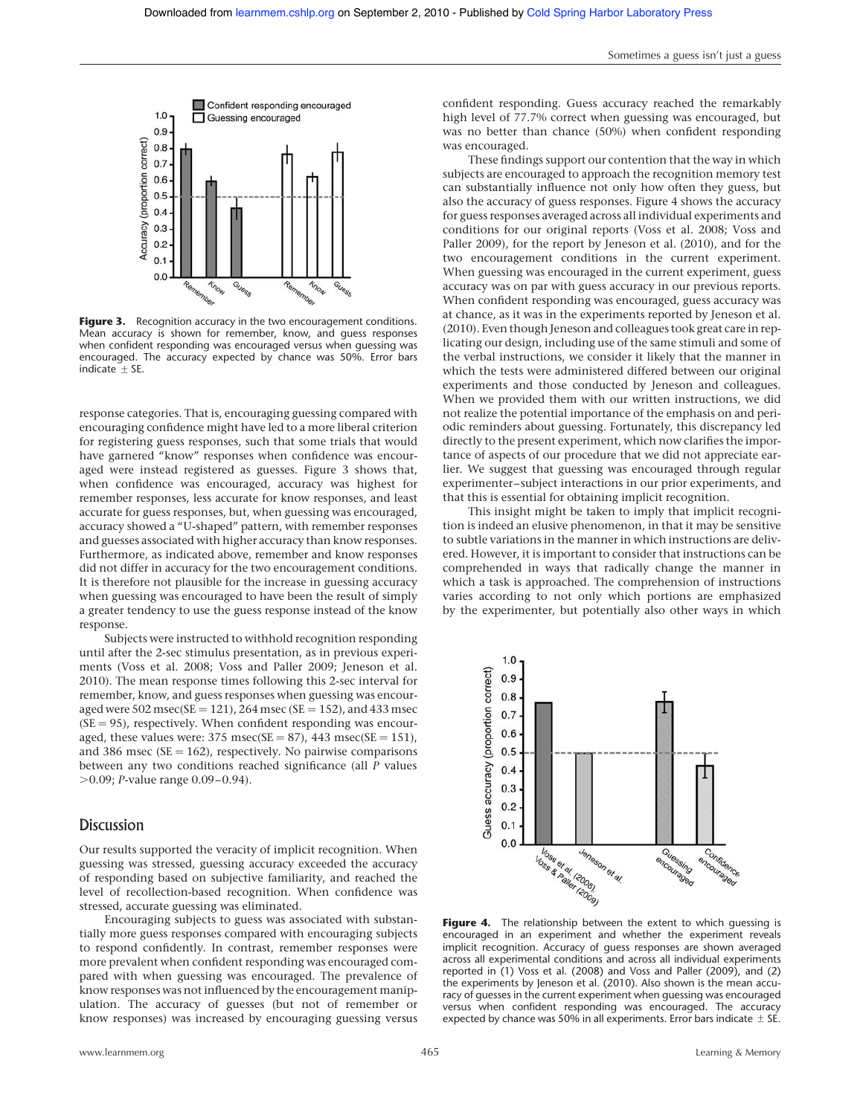

Figure 3. Recognition accuracy in the two encouragement conditions. Mean accuracy is shown for remember, know, and guess responses when confident responding was encouraged versus when guessing was encouraged. The accuracy expected by chance was 50%. Error bars  $indicate + SF.$ 

response categories. That is, encouraging guessing compared with encouraging confidence might have led to a more liberal criterion for registering guess responses, such that some trials that would have garnered "know" responses when confidence was encouraged were instead registered as guesses. Figure 3 shows that, when confidence was encouraged, accuracy was highest for remember responses, less accurate for know responses, and least accurate for guess responses, but, when guessing was encouraged, accuracy showed a "U-shaped" pattern, with remember responses and guesses associated with higher accuracy than know responses. Furthermore, as indicated above, remember and know responses did not differ in accuracy for the two encouragement conditions. It is therefore not plausible for the increase in guessing accuracy when guessing was encouraged to have been the result of simply a greater tendency to use the guess response instead of the know response.

Subjects were instructed to withhold recognition responding until after the 2-sec stimulus presentation, as in previous experiments (Voss et al. 2008; Voss and Paller 2009; Jeneson et al. 2010). The mean response times following this 2-sec interval for remember, know, and guess responses when guessing was encouraged were  $502 \text{ msec}(\text{SE} = 121)$ ,  $264 \text{ msec}(\text{SE} = 152)$ , and  $433 \text{ msec}$  $(SE = 95)$ , respectively. When confident responding was encouraged, these values were:  $375$  msec(SE =  $87$ ),  $443$  msec(SE =  $151$ ), and 386 msec ( $SE = 162$ ), respectively. No pairwise comparisons between any two conditions reached significance (all P values .0.09; P-value range 0.09–0.94).

### **Discussion**

Our results supported the veracity of implicit recognition. When guessing was stressed, guessing accuracy exceeded the accuracy of responding based on subjective familiarity, and reached the level of recollection-based recognition. When confidence was stressed, accurate guessing was eliminated.

Encouraging subjects to guess was associated with substantially more guess responses compared with encouraging subjects to respond confidently. In contrast, remember responses were more prevalent when confident responding was encouraged compared with when guessing was encouraged. The prevalence of know responses was not influenced by the encouragement manipulation. The accuracy of guesses (but not of remember or know responses) was increased by encouraging guessing versus

confident responding. Guess accuracy reached the remarkably high level of 77.7% correct when guessing was encouraged, but was no better than chance (50%) when confident responding was encouraged.

These findings support our contention that the way in which subjects are encouraged to approach the recognition memory test can substantially influence not only how often they guess, but also the accuracy of guess responses. Figure 4 shows the accuracy for guess responses averaged across all individual experiments and conditions for our original reports (Voss et al. 2008; Voss and Paller 2009), for the report by Jeneson et al. (2010), and for the two encouragement conditions in the current experiment. When guessing was encouraged in the current experiment, guess accuracy was on par with guess accuracy in our previous reports. When confident responding was encouraged, guess accuracy was at chance, as it was in the experiments reported by Jeneson et al. (2010). Even though Jeneson and colleagues took great care in replicating our design, including use of the same stimuli and some of the verbal instructions, we consider it likely that the manner in which the tests were administered differed between our original experiments and those conducted by Jeneson and colleagues. When we provided them with our written instructions, we did not realize the potential importance of the emphasis on and periodic reminders about guessing. Fortunately, this discrepancy led directly to the present experiment, which now clarifies the importance of aspects of our procedure that we did not appreciate earlier. We suggest that guessing was encouraged through regular experimenter–subject interactions in our prior experiments, and that this is essential for obtaining implicit recognition.

This insight might be taken to imply that implicit recognition is indeed an elusive phenomenon, in that it may be sensitive to subtle variations in the manner in which instructions are delivered. However, it is important to consider that instructions can be comprehended in ways that radically change the manner in which a task is approached. The comprehension of instructions varies according to not only which portions are emphasized by the experimenter, but potentially also other ways in which



Figure 4. The relationship between the extent to which guessing is encouraged in an experiment and whether the experiment reveals implicit recognition. Accuracy of guess responses are shown averaged across all experimental conditions and across all individual experiments reported in (1) Voss et al. (2008) and Voss and Paller (2009), and (2) the experiments by Jeneson et al. (2010). Also shown is the mean accuracy of guesses in the current experiment when guessing was encouraged versus when confident responding was encouraged. The accuracy expected by chance was 50% in all experiments. Error bars indicate  $\pm$  SE.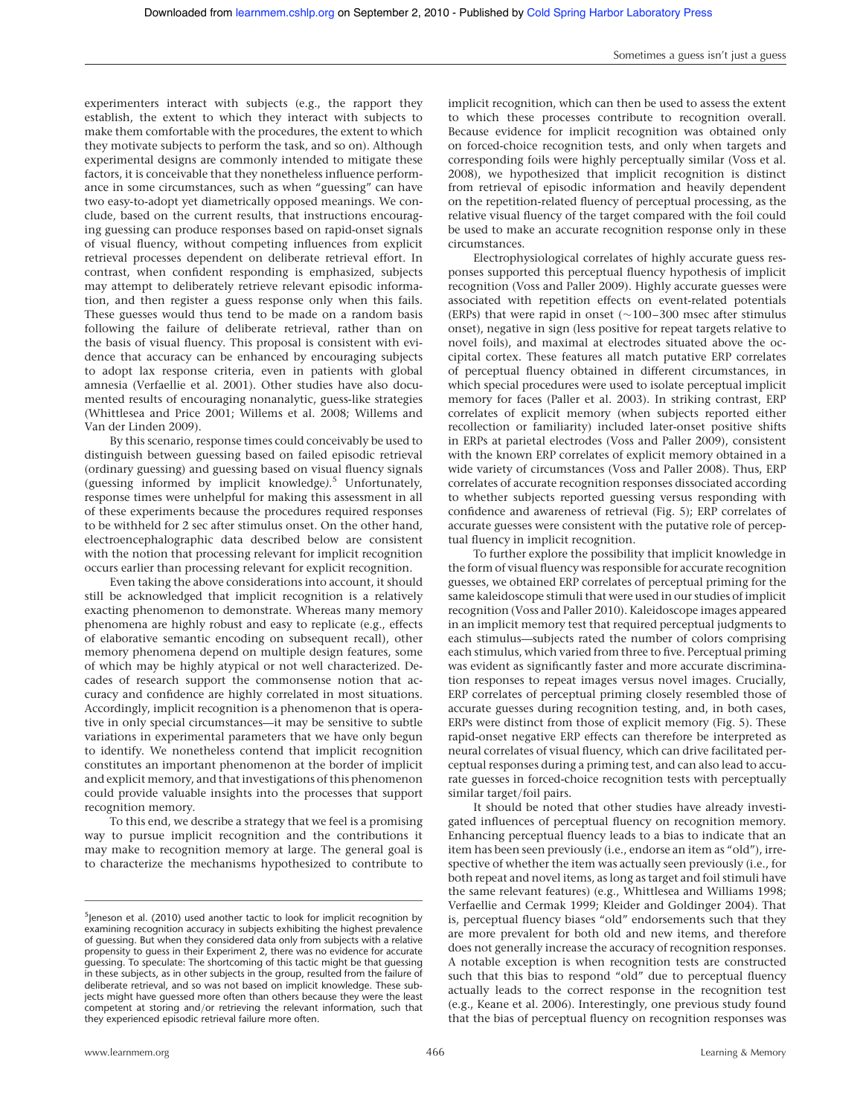experimenters interact with subjects (e.g., the rapport they establish, the extent to which they interact with subjects to make them comfortable with the procedures, the extent to which they motivate subjects to perform the task, and so on). Although experimental designs are commonly intended to mitigate these factors, it is conceivable that they nonetheless influence performance in some circumstances, such as when "guessing" can have two easy-to-adopt yet diametrically opposed meanings. We conclude, based on the current results, that instructions encouraging guessing can produce responses based on rapid-onset signals of visual fluency, without competing influences from explicit retrieval processes dependent on deliberate retrieval effort. In contrast, when confident responding is emphasized, subjects may attempt to deliberately retrieve relevant episodic information, and then register a guess response only when this fails. These guesses would thus tend to be made on a random basis following the failure of deliberate retrieval, rather than on the basis of visual fluency. This proposal is consistent with evidence that accuracy can be enhanced by encouraging subjects to adopt lax response criteria, even in patients with global amnesia (Verfaellie et al. 2001). Other studies have also documented results of encouraging nonanalytic, guess-like strategies (Whittlesea and Price 2001; Willems et al. 2008; Willems and Van der Linden 2009).

By this scenario, response times could conceivably be used to distinguish between guessing based on failed episodic retrieval (ordinary guessing) and guessing based on visual fluency signals (guessing informed by implicit knowledge). <sup>5</sup> Unfortunately, response times were unhelpful for making this assessment in all of these experiments because the procedures required responses to be withheld for 2 sec after stimulus onset. On the other hand, electroencephalographic data described below are consistent with the notion that processing relevant for implicit recognition occurs earlier than processing relevant for explicit recognition.

Even taking the above considerations into account, it should still be acknowledged that implicit recognition is a relatively exacting phenomenon to demonstrate. Whereas many memory phenomena are highly robust and easy to replicate (e.g., effects of elaborative semantic encoding on subsequent recall), other memory phenomena depend on multiple design features, some of which may be highly atypical or not well characterized. Decades of research support the commonsense notion that accuracy and confidence are highly correlated in most situations. Accordingly, implicit recognition is a phenomenon that is operative in only special circumstances—it may be sensitive to subtle variations in experimental parameters that we have only begun to identify. We nonetheless contend that implicit recognition constitutes an important phenomenon at the border of implicit and explicit memory, and that investigations of this phenomenon could provide valuable insights into the processes that support recognition memory.

To this end, we describe a strategy that we feel is a promising way to pursue implicit recognition and the contributions it may make to recognition memory at large. The general goal is to characterize the mechanisms hypothesized to contribute to implicit recognition, which can then be used to assess the extent to which these processes contribute to recognition overall. Because evidence for implicit recognition was obtained only on forced-choice recognition tests, and only when targets and corresponding foils were highly perceptually similar (Voss et al. 2008), we hypothesized that implicit recognition is distinct from retrieval of episodic information and heavily dependent on the repetition-related fluency of perceptual processing, as the relative visual fluency of the target compared with the foil could be used to make an accurate recognition response only in these circumstances.

Electrophysiological correlates of highly accurate guess responses supported this perceptual fluency hypothesis of implicit recognition (Voss and Paller 2009). Highly accurate guesses were associated with repetition effects on event-related potentials (ERPs) that were rapid in onset  $(\sim 100-300$  msec after stimulus onset), negative in sign (less positive for repeat targets relative to novel foils), and maximal at electrodes situated above the occipital cortex. These features all match putative ERP correlates of perceptual fluency obtained in different circumstances, in which special procedures were used to isolate perceptual implicit memory for faces (Paller et al. 2003). In striking contrast, ERP correlates of explicit memory (when subjects reported either recollection or familiarity) included later-onset positive shifts in ERPs at parietal electrodes (Voss and Paller 2009), consistent with the known ERP correlates of explicit memory obtained in a wide variety of circumstances (Voss and Paller 2008). Thus, ERP correlates of accurate recognition responses dissociated according to whether subjects reported guessing versus responding with confidence and awareness of retrieval (Fig. 5); ERP correlates of accurate guesses were consistent with the putative role of perceptual fluency in implicit recognition.

To further explore the possibility that implicit knowledge in the form of visual fluency was responsible for accurate recognition guesses, we obtained ERP correlates of perceptual priming for the same kaleidoscope stimuli that were used in our studies of implicit recognition (Voss and Paller 2010). Kaleidoscope images appeared in an implicit memory test that required perceptual judgments to each stimulus—subjects rated the number of colors comprising each stimulus, which varied from three to five. Perceptual priming was evident as significantly faster and more accurate discrimination responses to repeat images versus novel images. Crucially, ERP correlates of perceptual priming closely resembled those of accurate guesses during recognition testing, and, in both cases, ERPs were distinct from those of explicit memory (Fig. 5). These rapid-onset negative ERP effects can therefore be interpreted as neural correlates of visual fluency, which can drive facilitated perceptual responses during a priming test, and can also lead to accurate guesses in forced-choice recognition tests with perceptually similar target/foil pairs.

It should be noted that other studies have already investigated influences of perceptual fluency on recognition memory. Enhancing perceptual fluency leads to a bias to indicate that an item has been seen previously (i.e., endorse an item as "old"), irrespective of whether the item was actually seen previously (i.e., for both repeat and novel items, as long as target and foil stimuli have the same relevant features) (e.g., Whittlesea and Williams 1998; Verfaellie and Cermak 1999; Kleider and Goldinger 2004). That is, perceptual fluency biases "old" endorsements such that they are more prevalent for both old and new items, and therefore does not generally increase the accuracy of recognition responses. A notable exception is when recognition tests are constructed such that this bias to respond "old" due to perceptual fluency actually leads to the correct response in the recognition test (e.g., Keane et al. 2006). Interestingly, one previous study found that the bias of perceptual fluency on recognition responses was

<sup>&</sup>lt;sup>5</sup>Jeneson et al. (2010) used another tactic to look for implicit recognition by examining recognition accuracy in subjects exhibiting the highest prevalence of guessing. But when they considered data only from subjects with a relative propensity to guess in their Experiment 2, there was no evidence for accurate guessing. To speculate: The shortcoming of this tactic might be that guessing in these subjects, as in other subjects in the group, resulted from the failure of deliberate retrieval, and so was not based on implicit knowledge. These subjects might have guessed more often than others because they were the least competent at storing and/or retrieving the relevant information, such that they experienced episodic retrieval failure more often.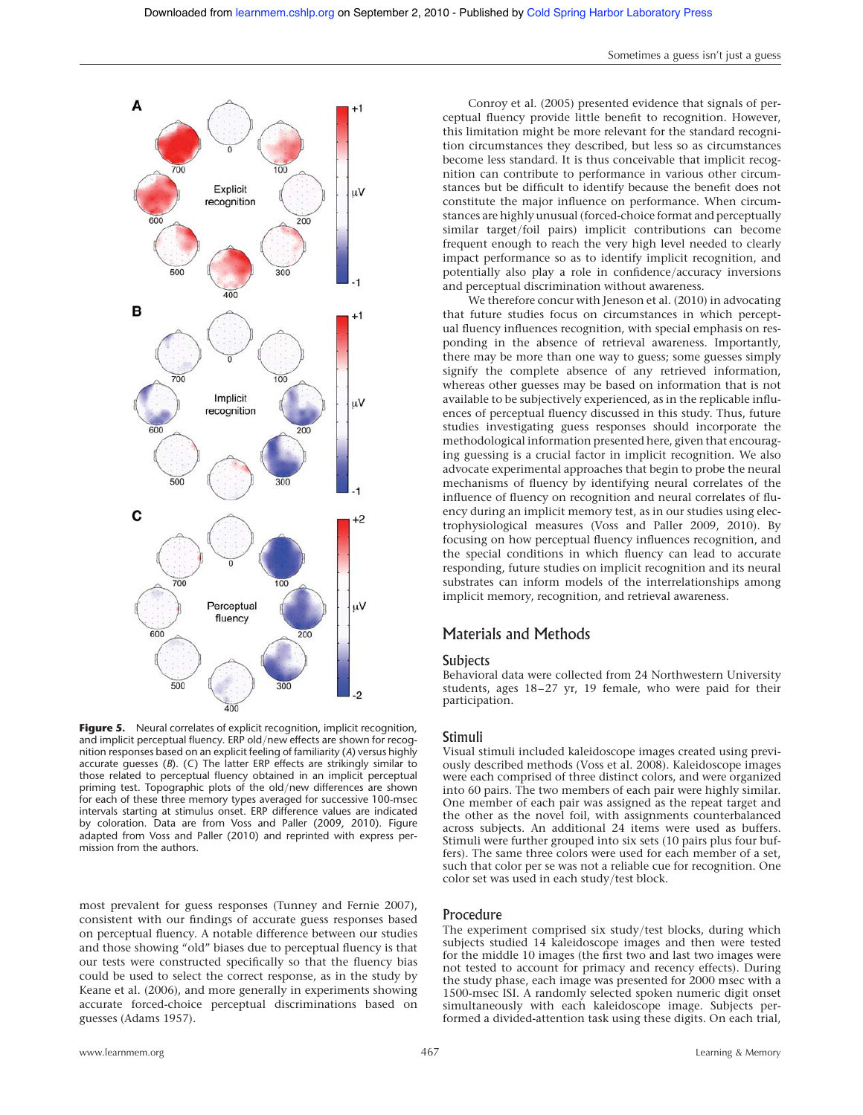

Figure 5. Neural correlates of explicit recognition, implicit recognition, and implicit perceptual fluency. ERP old/new effects are shown for recognition responses based on an explicit feeling of familiarity (A) versus highly accurate guesses (B). (C) The latter ERP effects are strikingly similar to those related to perceptual fluency obtained in an implicit perceptual priming test. Topographic plots of the old/new differences are shown for each of these three memory types averaged for successive 100-msec intervals starting at stimulus onset. ERP difference values are indicated by coloration. Data are from Voss and Paller (2009, 2010). Figure adapted from Voss and Paller (2010) and reprinted with express permission from the authors.

most prevalent for guess responses (Tunney and Fernie 2007), consistent with our findings of accurate guess responses based on perceptual fluency. A notable difference between our studies and those showing "old" biases due to perceptual fluency is that our tests were constructed specifically so that the fluency bias could be used to select the correct response, as in the study by Keane et al. (2006), and more generally in experiments showing accurate forced-choice perceptual discriminations based on guesses (Adams 1957).

Conroy et al. (2005) presented evidence that signals of per-

Sometimes a guess isn't just a guess

ceptual fluency provide little benefit to recognition. However, this limitation might be more relevant for the standard recognition circumstances they described, but less so as circumstances become less standard. It is thus conceivable that implicit recognition can contribute to performance in various other circumstances but be difficult to identify because the benefit does not constitute the major influence on performance. When circumstances are highly unusual (forced-choice format and perceptually similar target/foil pairs) implicit contributions can become frequent enough to reach the very high level needed to clearly impact performance so as to identify implicit recognition, and potentially also play a role in confidence/accuracy inversions and perceptual discrimination without awareness.

We therefore concur with Jeneson et al. (2010) in advocating that future studies focus on circumstances in which perceptual fluency influences recognition, with special emphasis on responding in the absence of retrieval awareness. Importantly, there may be more than one way to guess; some guesses simply signify the complete absence of any retrieved information, whereas other guesses may be based on information that is not available to be subjectively experienced, as in the replicable influences of perceptual fluency discussed in this study. Thus, future studies investigating guess responses should incorporate the methodological information presented here, given that encouraging guessing is a crucial factor in implicit recognition. We also advocate experimental approaches that begin to probe the neural mechanisms of fluency by identifying neural correlates of the influence of fluency on recognition and neural correlates of fluency during an implicit memory test, as in our studies using electrophysiological measures (Voss and Paller 2009, 2010). By focusing on how perceptual fluency influences recognition, and the special conditions in which fluency can lead to accurate responding, future studies on implicit recognition and its neural substrates can inform models of the interrelationships among implicit memory, recognition, and retrieval awareness.

# Materials and Methods

#### **Subjects**

Behavioral data were collected from 24 Northwestern University students, ages 18–27 yr, 19 female, who were paid for their participation.

## Stimuli

Visual stimuli included kaleidoscope images created using previously described methods (Voss et al. 2008). Kaleidoscope images were each comprised of three distinct colors, and were organized into 60 pairs. The two members of each pair were highly similar. One member of each pair was assigned as the repeat target and the other as the novel foil, with assignments counterbalanced across subjects. An additional 24 items were used as buffers. Stimuli were further grouped into six sets (10 pairs plus four buffers). The same three colors were used for each member of a set, such that color per se was not a reliable cue for recognition. One color set was used in each study/test block.

#### Procedure

The experiment comprised six study/test blocks, during which subjects studied 14 kaleidoscope images and then were tested for the middle 10 images (the first two and last two images were not tested to account for primacy and recency effects). During the study phase, each image was presented for 2000 msec with a 1500-msec ISI. A randomly selected spoken numeric digit onset simultaneously with each kaleidoscope image. Subjects performed a divided-attention task using these digits. On each trial,